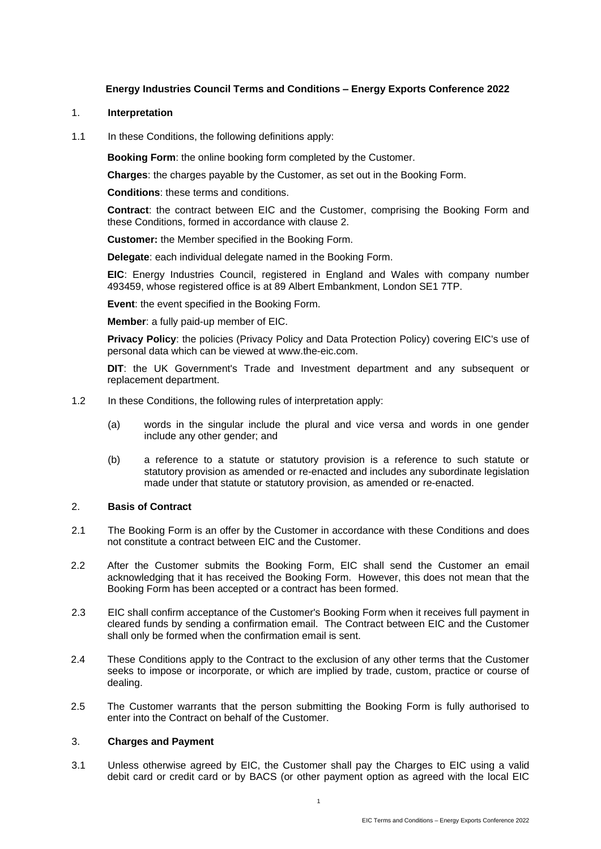# **Energy Industries Council Terms and Conditions – Energy Exports Conference 2022**

### 1. **Interpretation**

1.1 In these Conditions, the following definitions apply:

**Booking Form**: the online booking form completed by the Customer.

**Charges**: the charges payable by the Customer, as set out in the Booking Form.

**Conditions**: these terms and conditions.

**Contract**: the contract between EIC and the Customer, comprising the Booking Form and these Conditions, formed in accordance with clause 2.

**Customer:** the Member specified in the Booking Form.

**Delegate**: each individual delegate named in the Booking Form.

**EIC**: Energy Industries Council, registered in England and Wales with company number 493459, whose registered office is at 89 Albert Embankment, London SE1 7TP.

**Event**: the event specified in the Booking Form.

**Member**: a fully paid-up member of EIC.

**Privacy Policy**: the policies (Privacy Policy and Data Protection Policy) covering EIC's use of personal data which can be viewed at www.the-eic.com.

**DIT**: the UK Government's Trade and Investment department and any subsequent or replacement department.

- 1.2 In these Conditions, the following rules of interpretation apply:
	- (a) words in the singular include the plural and vice versa and words in one gender include any other gender; and
	- (b) a reference to a statute or statutory provision is a reference to such statute or statutory provision as amended or re-enacted and includes any subordinate legislation made under that statute or statutory provision, as amended or re-enacted.

#### 2. **Basis of Contract**

- 2.1 The Booking Form is an offer by the Customer in accordance with these Conditions and does not constitute a contract between EIC and the Customer.
- 2.2 After the Customer submits the Booking Form, EIC shall send the Customer an email acknowledging that it has received the Booking Form. However, this does not mean that the Booking Form has been accepted or a contract has been formed.
- 2.3 EIC shall confirm acceptance of the Customer's Booking Form when it receives full payment in cleared funds by sending a confirmation email. The Contract between EIC and the Customer shall only be formed when the confirmation email is sent.
- 2.4 These Conditions apply to the Contract to the exclusion of any other terms that the Customer seeks to impose or incorporate, or which are implied by trade, custom, practice or course of dealing.
- 2.5 The Customer warrants that the person submitting the Booking Form is fully authorised to enter into the Contract on behalf of the Customer.

#### 3. **Charges and Payment**

3.1 Unless otherwise agreed by EIC, the Customer shall pay the Charges to EIC using a valid debit card or credit card or by BACS (or other payment option as agreed with the local EIC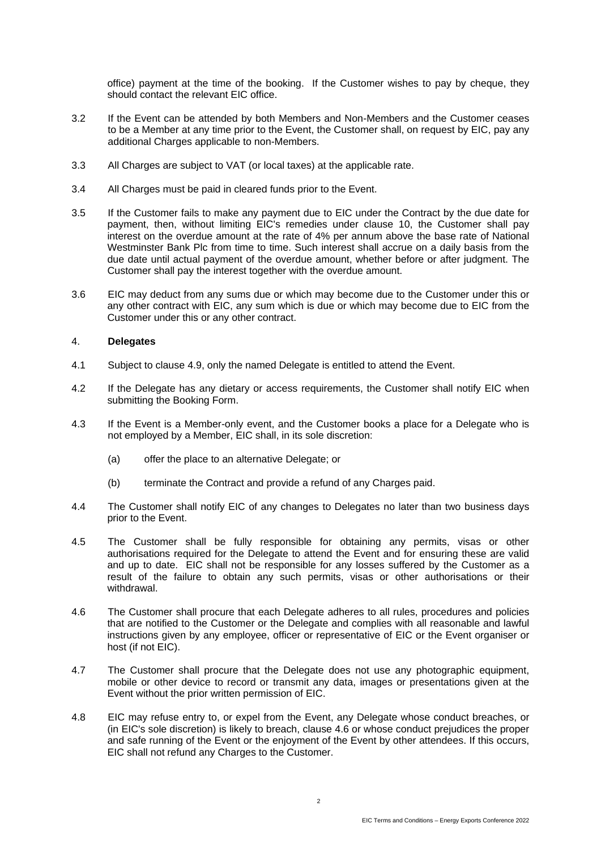office) payment at the time of the booking. If the Customer wishes to pay by cheque, they should contact the relevant EIC office.

- 3.2 If the Event can be attended by both Members and Non-Members and the Customer ceases to be a Member at any time prior to the Event, the Customer shall, on request by EIC, pay any additional Charges applicable to non-Members.
- 3.3 All Charges are subject to VAT (or local taxes) at the applicable rate.
- 3.4 All Charges must be paid in cleared funds prior to the Event.
- 3.5 If the Customer fails to make any payment due to EIC under the Contract by the due date for payment, then, without limiting EIC's remedies under clause [10,](#page-3-0) the Customer shall pay interest on the overdue amount at the rate of 4% per annum above the base rate of National Westminster Bank Plc from time to time. Such interest shall accrue on a daily basis from the due date until actual payment of the overdue amount, whether before or after judgment. The Customer shall pay the interest together with the overdue amount.
- 3.6 EIC may deduct from any sums due or which may become due to the Customer under this or any other contract with EIC, any sum which is due or which may become due to EIC from the Customer under this or any other contract.

### <span id="page-1-1"></span>4. **Delegates**

- 4.1 Subject to clause [4.9,](#page-2-0) only the named Delegate is entitled to attend the Event.
- 4.2 If the Delegate has any dietary or access requirements, the Customer shall notify EIC when submitting the Booking Form.
- 4.3 If the Event is a Member-only event, and the Customer books a place for a Delegate who is not employed by a Member, EIC shall, in its sole discretion:
	- (a) offer the place to an alternative Delegate; or
	- (b) terminate the Contract and provide a refund of any Charges paid.
- 4.4 The Customer shall notify EIC of any changes to Delegates no later than two business days prior to the Event.
- 4.5 The Customer shall be fully responsible for obtaining any permits, visas or other authorisations required for the Delegate to attend the Event and for ensuring these are valid and up to date. EIC shall not be responsible for any losses suffered by the Customer as a result of the failure to obtain any such permits, visas or other authorisations or their withdrawal.
- <span id="page-1-0"></span>4.6 The Customer shall procure that each Delegate adheres to all rules, procedures and policies that are notified to the Customer or the Delegate and complies with all reasonable and lawful instructions given by any employee, officer or representative of EIC or the Event organiser or host (if not EIC).
- 4.7 The Customer shall procure that the Delegate does not use any photographic equipment, mobile or other device to record or transmit any data, images or presentations given at the Event without the prior written permission of EIC.
- 4.8 EIC may refuse entry to, or expel from the Event, any Delegate whose conduct breaches, or (in EIC's sole discretion) is likely to breach, clause [4.6](#page-1-0) or whose conduct prejudices the proper and safe running of the Event or the enjoyment of the Event by other attendees. If this occurs, EIC shall not refund any Charges to the Customer.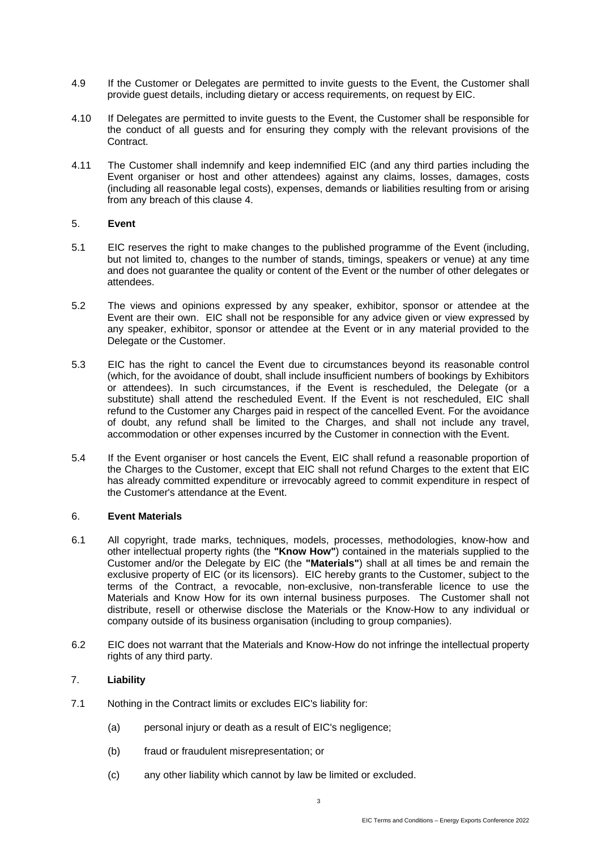- <span id="page-2-0"></span>4.9 If the Customer or Delegates are permitted to invite guests to the Event, the Customer shall provide guest details, including dietary or access requirements, on request by EIC.
- 4.10 If Delegates are permitted to invite guests to the Event, the Customer shall be responsible for the conduct of all guests and for ensuring they comply with the relevant provisions of the Contract.
- <span id="page-2-2"></span>4.11 The Customer shall indemnify and keep indemnified EIC (and any third parties including the Event organiser or host and other attendees) against any claims, losses, damages, costs (including all reasonable legal costs), expenses, demands or liabilities resulting from or arising from any breach of this clause [4.](#page-1-1)

# 5. **Event**

- 5.1 EIC reserves the right to make changes to the published programme of the Event (including, but not limited to, changes to the number of stands, timings, speakers or venue) at any time and does not guarantee the quality or content of the Event or the number of other delegates or attendees.
- 5.2 The views and opinions expressed by any speaker, exhibitor, sponsor or attendee at the Event are their own. EIC shall not be responsible for any advice given or view expressed by any speaker, exhibitor, sponsor or attendee at the Event or in any material provided to the Delegate or the Customer.
- 5.3 EIC has the right to cancel the Event due to circumstances beyond its reasonable control (which, for the avoidance of doubt, shall include insufficient numbers of bookings by Exhibitors or attendees). In such circumstances, if the Event is rescheduled, the Delegate (or a substitute) shall attend the rescheduled Event. If the Event is not rescheduled, EIC shall refund to the Customer any Charges paid in respect of the cancelled Event. For the avoidance of doubt, any refund shall be limited to the Charges, and shall not include any travel, accommodation or other expenses incurred by the Customer in connection with the Event.
- 5.4 If the Event organiser or host cancels the Event, EIC shall refund a reasonable proportion of the Charges to the Customer, except that EIC shall not refund Charges to the extent that EIC has already committed expenditure or irrevocably agreed to commit expenditure in respect of the Customer's attendance at the Event.

# 6. **Event Materials**

- <span id="page-2-3"></span>6.1 All copyright, trade marks, techniques, models, processes, methodologies, know-how and other intellectual property rights (the **"Know How"**) contained in the materials supplied to the Customer and/or the Delegate by EIC (the **"Materials"**) shall at all times be and remain the exclusive property of EIC (or its licensors). EIC hereby grants to the Customer, subject to the terms of the Contract, a revocable, non-exclusive, non-transferable licence to use the Materials and Know How for its own internal business purposes. The Customer shall not distribute, resell or otherwise disclose the Materials or the Know-How to any individual or company outside of its business organisation (including to group companies).
- 6.2 EIC does not warrant that the Materials and Know-How do not infringe the intellectual property rights of any third party.

# <span id="page-2-4"></span>7. **Liability**

- <span id="page-2-1"></span>7.1 Nothing in the Contract limits or excludes EIC's liability for:
	- (a) personal injury or death as a result of EIC's negligence;
	- (b) fraud or fraudulent misrepresentation; or
	- (c) any other liability which cannot by law be limited or excluded.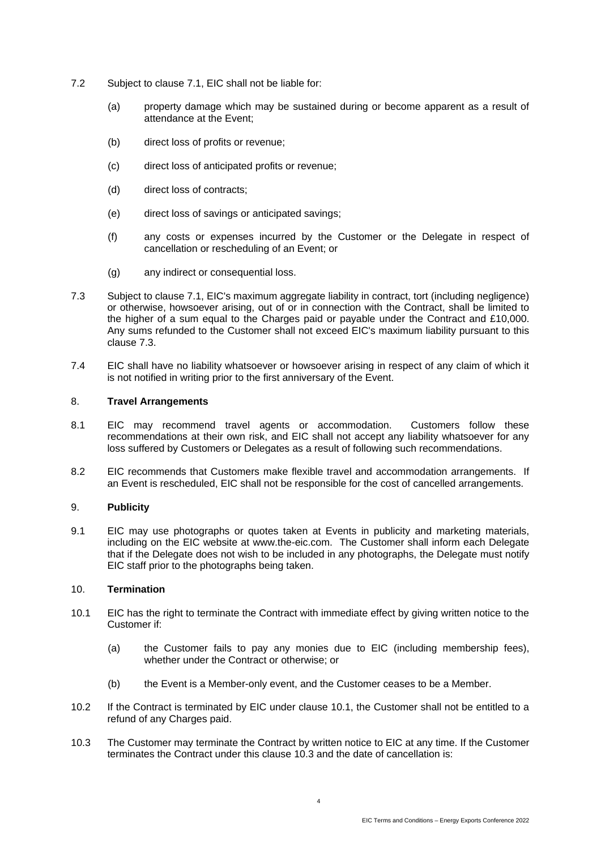- 7.2 Subject to clause [7.1,](#page-2-1) EIC shall not be liable for:
	- (a) property damage which may be sustained during or become apparent as a result of attendance at the Event;
	- (b) direct loss of profits or revenue;
	- (c) direct loss of anticipated profits or revenue;
	- (d) direct loss of contracts;
	- (e) direct loss of savings or anticipated savings;
	- (f) any costs or expenses incurred by the Customer or the Delegate in respect of cancellation or rescheduling of an Event; or
	- (g) any indirect or consequential loss.
- <span id="page-3-1"></span>7.3 Subject to clause [7.1,](#page-2-1) EIC's maximum aggregate liability in contract, tort (including negligence) or otherwise, howsoever arising, out of or in connection with the Contract, shall be limited to the higher of a sum equal to the Charges paid or payable under the Contract and £10,000. Any sums refunded to the Customer shall not exceed EIC's maximum liability pursuant to this clause [7.3.](#page-3-1)
- 7.4 EIC shall have no liability whatsoever or howsoever arising in respect of any claim of which it is not notified in writing prior to the first anniversary of the Event.

### 8. **Travel Arrangements**

- 8.1 EIC may recommend travel agents or accommodation. Customers follow these recommendations at their own risk, and EIC shall not accept any liability whatsoever for any loss suffered by Customers or Delegates as a result of following such recommendations.
- 8.2 EIC recommends that Customers make flexible travel and accommodation arrangements. If an Event is rescheduled, EIC shall not be responsible for the cost of cancelled arrangements.

# <span id="page-3-3"></span>9. **Publicity**

9.1 EIC may use photographs or quotes taken at Events in publicity and marketing materials, including on the EIC website at www.the-eic.com. The Customer shall inform each Delegate that if the Delegate does not wish to be included in any photographs, the Delegate must notify EIC staff prior to the photographs being taken.

### <span id="page-3-0"></span>10. **Termination**

- 10.1 EIC has the right to terminate the Contract with immediate effect by giving written notice to the Customer if:
	- (a) the Customer fails to pay any monies due to EIC (including membership fees), whether under the Contract or otherwise; or
	- (b) the Event is a Member-only event, and the Customer ceases to be a Member.
- 10.2 If the Contract is terminated by EIC under clause 10.1, the Customer shall not be entitled to a refund of any Charges paid.
- <span id="page-3-2"></span>10.3 The Customer may terminate the Contract by written notice to EIC at any time. If the Customer terminates the Contract under this clause [10.3](#page-3-2) and the date of cancellation is:

4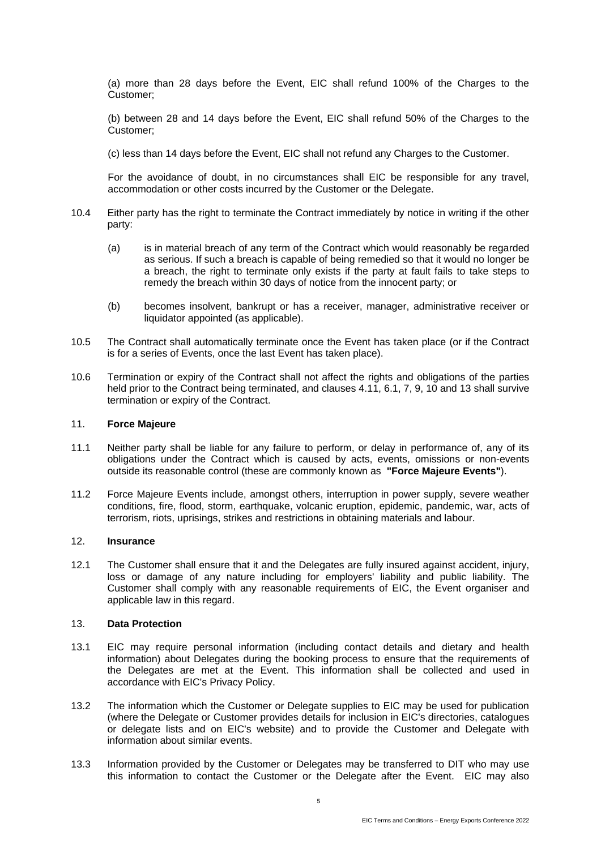(a) more than 28 days before the Event, EIC shall refund 100% of the Charges to the Customer;

(b) between 28 and 14 days before the Event, EIC shall refund 50% of the Charges to the Customer;

(c) less than 14 days before the Event, EIC shall not refund any Charges to the Customer.

For the avoidance of doubt, in no circumstances shall EIC be responsible for any travel, accommodation or other costs incurred by the Customer or the Delegate.

- 10.4 Either party has the right to terminate the Contract immediately by notice in writing if the other party:
	- (a) is in material breach of any term of the Contract which would reasonably be regarded as serious. If such a breach is capable of being remedied so that it would no longer be a breach, the right to terminate only exists if the party at fault fails to take steps to remedy the breach within 30 days of notice from the innocent party; or
	- (b) becomes insolvent, bankrupt or has a receiver, manager, administrative receiver or liquidator appointed (as applicable).
- 10.5 The Contract shall automatically terminate once the Event has taken place (or if the Contract is for a series of Events, once the last Event has taken place).
- 10.6 Termination or expiry of the Contract shall not affect the rights and obligations of the parties held prior to the Contract being terminated, and clauses [4.11,](#page-2-2) [6.1,](#page-2-3) [7,](#page-2-4) [9,](#page-3-3) [10](#page-3-0) and [13](#page-4-0) shall survive termination or expiry of the Contract.

#### 11. **Force Majeure**

- 11.1 Neither party shall be liable for any failure to perform, or delay in performance of, any of its obligations under the Contract which is caused by acts, events, omissions or non-events outside its reasonable control (these are commonly known as **"Force Majeure Events"**).
- 11.2 Force Majeure Events include, amongst others, interruption in power supply, severe weather conditions, fire, flood, storm, earthquake, volcanic eruption, epidemic, pandemic, war, acts of terrorism, riots, uprisings, strikes and restrictions in obtaining materials and labour.

#### 12. **Insurance**

12.1 The Customer shall ensure that it and the Delegates are fully insured against accident, injury, loss or damage of any nature including for employers' liability and public liability. The Customer shall comply with any reasonable requirements of EIC, the Event organiser and applicable law in this regard.

### <span id="page-4-0"></span>13. **Data Protection**

- 13.1 EIC may require personal information (including contact details and dietary and health information) about Delegates during the booking process to ensure that the requirements of the Delegates are met at the Event. This information shall be collected and used in accordance with EIC's Privacy Policy.
- 13.2 The information which the Customer or Delegate supplies to EIC may be used for publication (where the Delegate or Customer provides details for inclusion in EIC's directories, catalogues or delegate lists and on EIC's website) and to provide the Customer and Delegate with information about similar events.
- 13.3 Information provided by the Customer or Delegates may be transferred to DIT who may use this information to contact the Customer or the Delegate after the Event. EIC may also